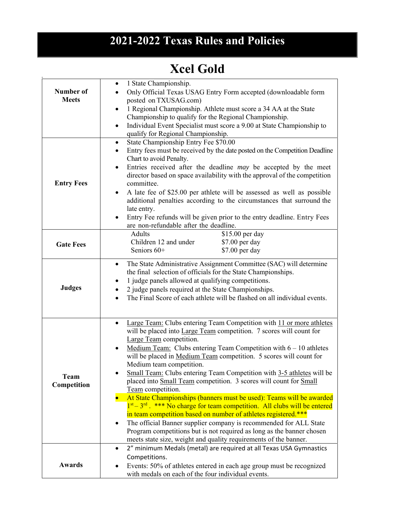## **2021-2022 Texas Rules and Policies**

## **Xcel Gold**

| Number of<br><b>Meets</b>  | 1 State Championship.<br>٠<br>Only Official Texas USAG Entry Form accepted (downloadable form<br>posted on TXUSAG.com)<br>1 Regional Championship. Athlete must score a 34 AA at the State<br>Championship to qualify for the Regional Championship.<br>Individual Event Specialist must score a 9.00 at State Championship to<br>$\bullet$<br>qualify for Regional Championship.                                                                                                                                                                                                                                                                                                                                                                                                                                                                                                                                                                                                       |
|----------------------------|-----------------------------------------------------------------------------------------------------------------------------------------------------------------------------------------------------------------------------------------------------------------------------------------------------------------------------------------------------------------------------------------------------------------------------------------------------------------------------------------------------------------------------------------------------------------------------------------------------------------------------------------------------------------------------------------------------------------------------------------------------------------------------------------------------------------------------------------------------------------------------------------------------------------------------------------------------------------------------------------|
| <b>Entry Fees</b>          | State Championship Entry Fee \$70.00<br>$\bullet$<br>Entry fees must be received by the date posted on the Competition Deadline<br>$\bullet$<br>Chart to avoid Penalty.<br>Entries received after the deadline may be accepted by the meet<br>director based on space availability with the approval of the competition<br>committee.<br>A late fee of \$25.00 per athlete will be assessed as well as possible<br>$\bullet$<br>additional penalties according to the circumstances that surround the<br>late entry.<br>Entry Fee refunds will be given prior to the entry deadline. Entry Fees<br>are non-refundable after the deadline.                                                                                                                                                                                                                                                                                                                                               |
| <b>Gate Fees</b>           | \$15.00 per day<br><b>Adults</b><br>Children 12 and under<br>\$7.00 per day<br>Seniors 60+<br>\$7.00 per day                                                                                                                                                                                                                                                                                                                                                                                                                                                                                                                                                                                                                                                                                                                                                                                                                                                                            |
| <b>Judges</b>              | The State Administrative Assignment Committee (SAC) will determine<br>$\bullet$<br>the final selection of officials for the State Championships.<br>1 judge panels allowed at qualifying competitions.<br>2 judge panels required at the State Championships.<br>The Final Score of each athlete will be flashed on all individual events.                                                                                                                                                                                                                                                                                                                                                                                                                                                                                                                                                                                                                                              |
| <b>Team</b><br>Competition | Large Team: Clubs entering Team Competition with 11 or more athletes<br>$\bullet$<br>will be placed into Large Team competition. 7 scores will count for<br>Large Team competition.<br>Medium Team: Clubs entering Team Competition with $6 - 10$ athletes<br>will be placed in Medium Team competition. 5 scores will count for<br>Medium team competition.<br>Small Team: Clubs entering Team Competition with 3-5 athletes will be<br>placed into Small Team competition. 3 scores will count for Small<br>Team competition.<br>At State Championships (banners must be used): Teams will be awarded<br>$1st - 3rd$ . *** No charge for team competition. All clubs will be entered<br>in team competition based on number of athletes registered.***<br>The official Banner supplier company is recommended for ALL State<br>$\bullet$<br>Program competitions but is not required as long as the banner chosen<br>meets state size, weight and quality requirements of the banner. |
| <b>Awards</b>              | 2" minimum Medals (metal) are required at all Texas USA Gymnastics<br>$\bullet$<br>Competitions.<br>Events: 50% of athletes entered in each age group must be recognized<br>with medals on each of the four individual events.                                                                                                                                                                                                                                                                                                                                                                                                                                                                                                                                                                                                                                                                                                                                                          |